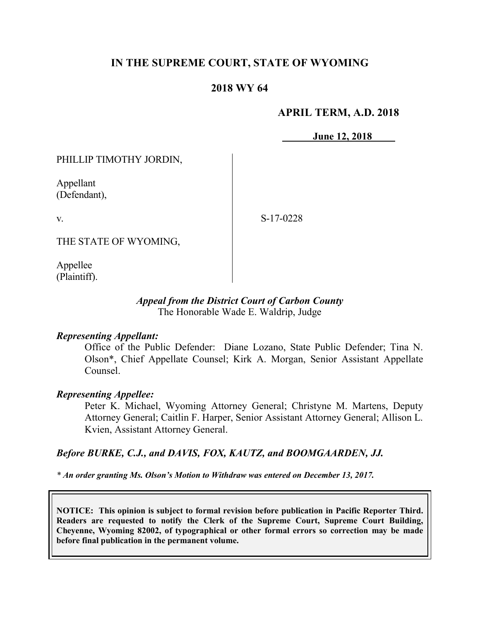# **IN THE SUPREME COURT, STATE OF WYOMING**

## **2018 WY 64**

## **APRIL TERM, A.D. 2018**

**June 12, 2018**

PHILLIP TIMOTHY JORDIN,

Appellant (Defendant),

v.

S-17-0228

THE STATE OF WYOMING,

Appellee (Plaintiff).

## *Appeal from the District Court of Carbon County* The Honorable Wade E. Waldrip, Judge

## *Representing Appellant:*

Office of the Public Defender: Diane Lozano, State Public Defender; Tina N. Olson\*, Chief Appellate Counsel; Kirk A. Morgan, Senior Assistant Appellate Counsel.

## *Representing Appellee:*

Peter K. Michael, Wyoming Attorney General; Christyne M. Martens, Deputy Attorney General; Caitlin F. Harper, Senior Assistant Attorney General; Allison L. Kvien, Assistant Attorney General.

## *Before BURKE, C.J., and DAVIS, FOX, KAUTZ, and BOOMGAARDEN, JJ.*

*\* An order granting Ms. Olson's Motion to Withdraw was entered on December 13, 2017.*

**NOTICE: This opinion is subject to formal revision before publication in Pacific Reporter Third. Readers are requested to notify the Clerk of the Supreme Court, Supreme Court Building, Cheyenne, Wyoming 82002, of typographical or other formal errors so correction may be made before final publication in the permanent volume.**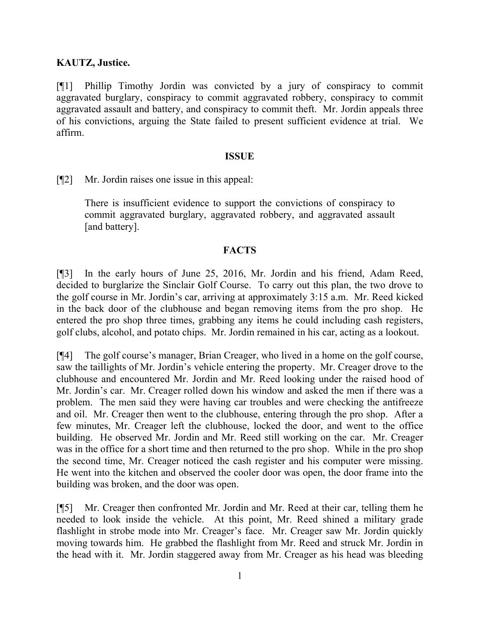## **KAUTZ, Justice.**

[¶1] Phillip Timothy Jordin was convicted by a jury of conspiracy to commit aggravated burglary, conspiracy to commit aggravated robbery, conspiracy to commit aggravated assault and battery, and conspiracy to commit theft. Mr. Jordin appeals three of his convictions, arguing the State failed to present sufficient evidence at trial. We affirm.

## **ISSUE**

[¶2] Mr. Jordin raises one issue in this appeal:

There is insufficient evidence to support the convictions of conspiracy to commit aggravated burglary, aggravated robbery, and aggravated assault [and battery].

## **FACTS**

[¶3] In the early hours of June 25, 2016, Mr. Jordin and his friend, Adam Reed, decided to burglarize the Sinclair Golf Course. To carry out this plan, the two drove to the golf course in Mr. Jordin's car, arriving at approximately 3:15 a.m. Mr. Reed kicked in the back door of the clubhouse and began removing items from the pro shop. He entered the pro shop three times, grabbing any items he could including cash registers, golf clubs, alcohol, and potato chips. Mr. Jordin remained in his car, acting as a lookout.

[¶4] The golf course's manager, Brian Creager, who lived in a home on the golf course, saw the taillights of Mr. Jordin's vehicle entering the property. Mr. Creager drove to the clubhouse and encountered Mr. Jordin and Mr. Reed looking under the raised hood of Mr. Jordin's car. Mr. Creager rolled down his window and asked the men if there was a problem. The men said they were having car troubles and were checking the antifreeze and oil. Mr. Creager then went to the clubhouse, entering through the pro shop. After a few minutes, Mr. Creager left the clubhouse, locked the door, and went to the office building. He observed Mr. Jordin and Mr. Reed still working on the car. Mr. Creager was in the office for a short time and then returned to the pro shop. While in the pro shop the second time, Mr. Creager noticed the cash register and his computer were missing. He went into the kitchen and observed the cooler door was open, the door frame into the building was broken, and the door was open.

[¶5] Mr. Creager then confronted Mr. Jordin and Mr. Reed at their car, telling them he needed to look inside the vehicle. At this point, Mr. Reed shined a military grade flashlight in strobe mode into Mr. Creager's face. Mr. Creager saw Mr. Jordin quickly moving towards him. He grabbed the flashlight from Mr. Reed and struck Mr. Jordin in the head with it. Mr. Jordin staggered away from Mr. Creager as his head was bleeding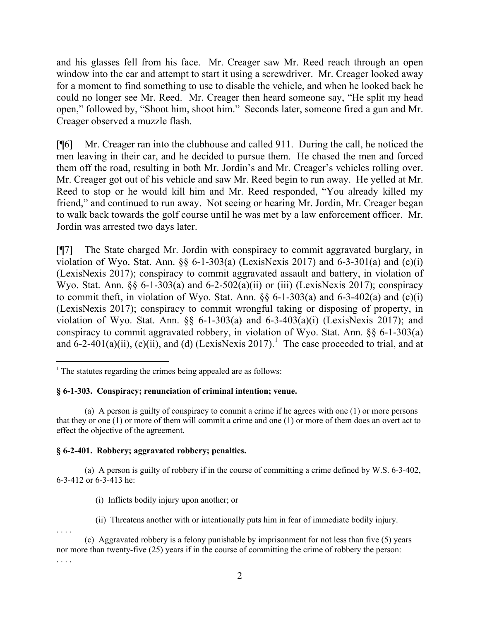and his glasses fell from his face. Mr. Creager saw Mr. Reed reach through an open window into the car and attempt to start it using a screwdriver. Mr. Creager looked away for a moment to find something to use to disable the vehicle, and when he looked back he could no longer see Mr. Reed. Mr. Creager then heard someone say, "He split my head open," followed by, "Shoot him, shoot him." Seconds later, someone fired a gun and Mr. Creager observed a muzzle flash.

[¶6] Mr. Creager ran into the clubhouse and called 911. During the call, he noticed the men leaving in their car, and he decided to pursue them. He chased the men and forced them off the road, resulting in both Mr. Jordin's and Mr. Creager's vehicles rolling over. Mr. Creager got out of his vehicle and saw Mr. Reed begin to run away. He yelled at Mr. Reed to stop or he would kill him and Mr. Reed responded, "You already killed my friend," and continued to run away. Not seeing or hearing Mr. Jordin, Mr. Creager began to walk back towards the golf course until he was met by a law enforcement officer. Mr. Jordin was arrested two days later.

[¶7] The State charged Mr. Jordin with conspiracy to commit aggravated burglary, in violation of Wyo. Stat. Ann.  $\S$ , 6-1-303(a) (LexisNexis 2017) and 6-3-301(a) and (c)(i) (LexisNexis 2017); conspiracy to commit aggravated assault and battery, in violation of Wyo. Stat. Ann.  $\S$ , 6-1-303(a) and 6-2-502(a)(ii) or (iii) (LexisNexis 2017); conspiracy to commit theft, in violation of Wyo. Stat. Ann.  $\S$ § 6-1-303(a) and 6-3-402(a) and (c)(i) (LexisNexis 2017); conspiracy to commit wrongful taking or disposing of property, in violation of Wyo. Stat. Ann.  $\S$  6-1-303(a) and 6-3-403(a)(i) (LexisNexis 2017); and conspiracy to commit aggravated robbery, in violation of Wyo. Stat. Ann. §§ 6-1-303(a) and  $6-2-401(a)(ii)$ , (c)(ii), and (d) (LexisNexis 2017).<sup>1</sup> The case proceeded to trial, and at

#### **§ 6-1-303. Conspiracy; renunciation of criminal intention; venue.**

(a) A person is guilty of conspiracy to commit a crime if he agrees with one (1) or more persons that they or one (1) or more of them will commit a crime and one (1) or more of them does an overt act to effect the objective of the agreement.

#### **§ 6-2-401. Robbery; aggravated robbery; penalties.**

(a) A person is guilty of robbery if in the course of committing a crime defined by W.S. 6-3-402, 6-3-412 or 6-3-413 he:

(i) Inflicts bodily injury upon another; or

(ii) Threatens another with or intentionally puts him in fear of immediate bodily injury.

. . . .

l

 $<sup>1</sup>$  The statutes regarding the crimes being appealed are as follows:</sup>

<sup>(</sup>c) Aggravated robbery is a felony punishable by imprisonment for not less than five (5) years nor more than twenty-five (25) years if in the course of committing the crime of robbery the person: . . . .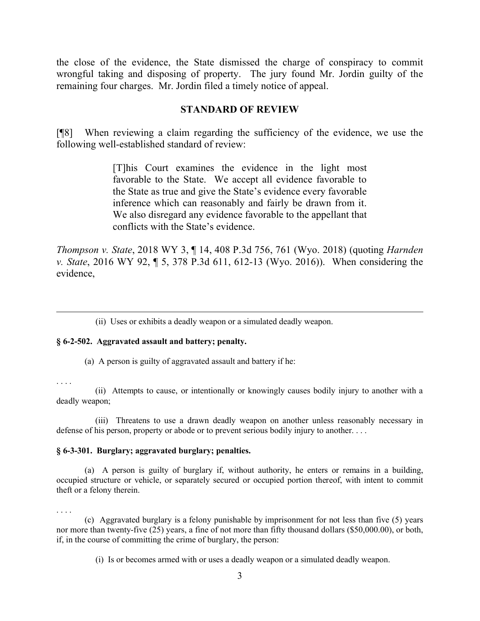the close of the evidence, the State dismissed the charge of conspiracy to commit wrongful taking and disposing of property. The jury found Mr. Jordin guilty of the remaining four charges. Mr. Jordin filed a timely notice of appeal.

## **STANDARD OF REVIEW**

[¶8] When reviewing a claim regarding the sufficiency of the evidence, we use the following well-established standard of review:

> [T]his Court examines the evidence in the light most favorable to the State. We accept all evidence favorable to the State as true and give the State's evidence every favorable inference which can reasonably and fairly be drawn from it. We also disregard any evidence favorable to the appellant that conflicts with the State's evidence.

*Thompson v. State*, 2018 WY 3, ¶ 14, 408 P.3d 756, 761 (Wyo. 2018) (quoting *Harnden v. State*, 2016 WY 92, ¶ 5, 378 P.3d 611, 612-13 (Wyo. 2016)). When considering the evidence,

(ii) Uses or exhibits a deadly weapon or a simulated deadly weapon.

#### **§ 6-2-502. Aggravated assault and battery; penalty.**

(a) A person is guilty of aggravated assault and battery if he:

. . . .

l

 (ii) Attempts to cause, or intentionally or knowingly causes bodily injury to another with a deadly weapon;

 (iii) Threatens to use a drawn deadly weapon on another unless reasonably necessary in defense of his person, property or abode or to prevent serious bodily injury to another. . . .

#### **§ 6-3-301. Burglary; aggravated burglary; penalties.**

(a) A person is guilty of burglary if, without authority, he enters or remains in a building, occupied structure or vehicle, or separately secured or occupied portion thereof, with intent to commit theft or a felony therein.

. . . .

(c) Aggravated burglary is a felony punishable by imprisonment for not less than five (5) years nor more than twenty-five (25) years, a fine of not more than fifty thousand dollars (\$50,000.00), or both, if, in the course of committing the crime of burglary, the person:

(i) Is or becomes armed with or uses a deadly weapon or a simulated deadly weapon.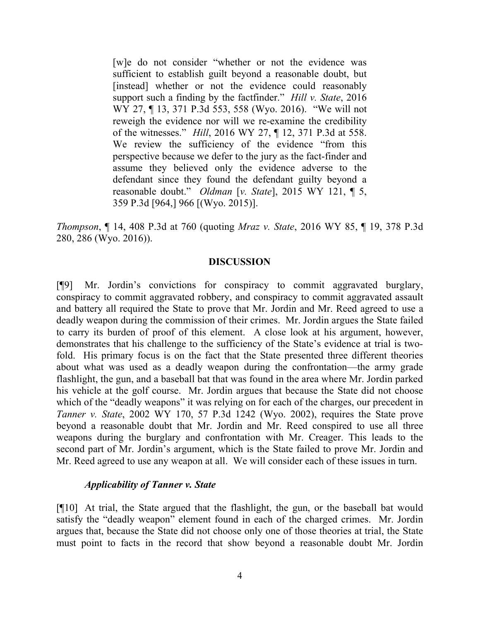[w]e do not consider "whether or not the evidence was sufficient to establish guilt beyond a reasonable doubt, but [instead] whether or not the evidence could reasonably support such a finding by the factfinder." *Hill v. State*, 2016 WY 27, ¶ 13, 371 P.3d 553, 558 (Wyo. 2016). "We will not reweigh the evidence nor will we re-examine the credibility of the witnesses." *Hill*, 2016 WY 27, ¶ 12, 371 P.3d at 558. We review the sufficiency of the evidence "from this perspective because we defer to the jury as the fact-finder and assume they believed only the evidence adverse to the defendant since they found the defendant guilty beyond a reasonable doubt." *Oldman* [*v. State*], 2015 WY 121, ¶ 5, 359 P.3d [964,] 966 [(Wyo. 2015)].

*Thompson*, ¶ 14, 408 P.3d at 760 (quoting *Mraz v. State*, 2016 WY 85, ¶ 19, 378 P.3d 280, 286 (Wyo. 2016)).

## **DISCUSSION**

[¶9] Mr. Jordin's convictions for conspiracy to commit aggravated burglary, conspiracy to commit aggravated robbery, and conspiracy to commit aggravated assault and battery all required the State to prove that Mr. Jordin and Mr. Reed agreed to use a deadly weapon during the commission of their crimes. Mr. Jordin argues the State failed to carry its burden of proof of this element. A close look at his argument, however, demonstrates that his challenge to the sufficiency of the State's evidence at trial is twofold. His primary focus is on the fact that the State presented three different theories about what was used as a deadly weapon during the confrontation—the army grade flashlight, the gun, and a baseball bat that was found in the area where Mr. Jordin parked his vehicle at the golf course. Mr. Jordin argues that because the State did not choose which of the "deadly weapons" it was relying on for each of the charges, our precedent in *Tanner v. State*, 2002 WY 170, 57 P.3d 1242 (Wyo. 2002), requires the State prove beyond a reasonable doubt that Mr. Jordin and Mr. Reed conspired to use all three weapons during the burglary and confrontation with Mr. Creager. This leads to the second part of Mr. Jordin's argument, which is the State failed to prove Mr. Jordin and Mr. Reed agreed to use any weapon at all. We will consider each of these issues in turn.

#### *Applicability of Tanner v. State*

[¶10] At trial, the State argued that the flashlight, the gun, or the baseball bat would satisfy the "deadly weapon" element found in each of the charged crimes. Mr. Jordin argues that, because the State did not choose only one of those theories at trial, the State must point to facts in the record that show beyond a reasonable doubt Mr. Jordin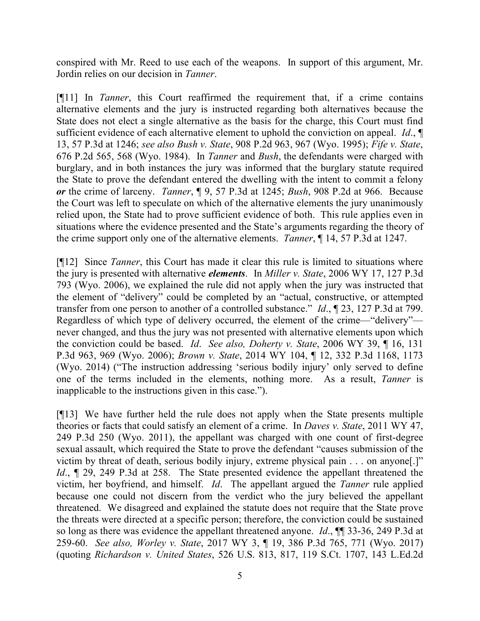conspired with Mr. Reed to use each of the weapons. In support of this argument, Mr. Jordin relies on our decision in *Tanner*.

[¶11] In *Tanner*, this Court reaffirmed the requirement that, if a crime contains alternative elements and the jury is instructed regarding both alternatives because the State does not elect a single alternative as the basis for the charge, this Court must find sufficient evidence of each alternative element to uphold the conviction on appeal. *Id*., ¶ 13, 57 P.3d at 1246; *see also Bush v. State*, 908 P.2d 963, 967 (Wyo. 1995); *Fife v. State*, 676 P.2d 565, 568 (Wyo. 1984). In *Tanner* and *Bush*, the defendants were charged with burglary, and in both instances the jury was informed that the burglary statute required the State to prove the defendant entered the dwelling with the intent to commit a felony *or* the crime of larceny. *Tanner*, ¶ 9, 57 P.3d at 1245; *Bush*, 908 P.2d at 966. Because the Court was left to speculate on which of the alternative elements the jury unanimously relied upon, the State had to prove sufficient evidence of both. This rule applies even in situations where the evidence presented and the State's arguments regarding the theory of the crime support only one of the alternative elements. *Tanner*, ¶ 14, 57 P.3d at 1247.

[¶12] Since *Tanner*, this Court has made it clear this rule is limited to situations where the jury is presented with alternative *elements*. In *Miller v. State*, 2006 WY 17, 127 P.3d 793 (Wyo. 2006), we explained the rule did not apply when the jury was instructed that the element of "delivery" could be completed by an "actual, constructive, or attempted transfer from one person to another of a controlled substance." *Id*., ¶ 23, 127 P.3d at 799. Regardless of which type of delivery occurred, the element of the crime—"delivery" never changed, and thus the jury was not presented with alternative elements upon which the conviction could be based. *Id*. *See also, Doherty v. State*, 2006 WY 39, ¶ 16, 131 P.3d 963, 969 (Wyo. 2006); *Brown v. State*, 2014 WY 104, ¶ 12, 332 P.3d 1168, 1173 (Wyo. 2014) ("The instruction addressing 'serious bodily injury' only served to define one of the terms included in the elements, nothing more. As a result, *Tanner* is inapplicable to the instructions given in this case.").

[¶13] We have further held the rule does not apply when the State presents multiple theories or facts that could satisfy an element of a crime. In *Daves v. State*, 2011 WY 47, 249 P.3d 250 (Wyo. 2011), the appellant was charged with one count of first-degree sexual assault, which required the State to prove the defendant "causes submission of the victim by threat of death, serious bodily injury, extreme physical pain . . . on anyone[.]" *Id.*,  $\P$  29, 249 P.3d at 258. The State presented evidence the appellant threatened the victim, her boyfriend, and himself. *Id*. The appellant argued the *Tanner* rule applied because one could not discern from the verdict who the jury believed the appellant threatened. We disagreed and explained the statute does not require that the State prove the threats were directed at a specific person; therefore, the conviction could be sustained so long as there was evidence the appellant threatened anyone. *Id*., ¶¶ 33-36, 249 P.3d at 259-60. *See also, Worley v. State*, 2017 WY 3, ¶ 19, 386 P.3d 765, 771 (Wyo. 2017) (quoting *Richardson v. United States*, 526 U.S. 813, 817, 119 S.Ct. 1707, 143 L.Ed.2d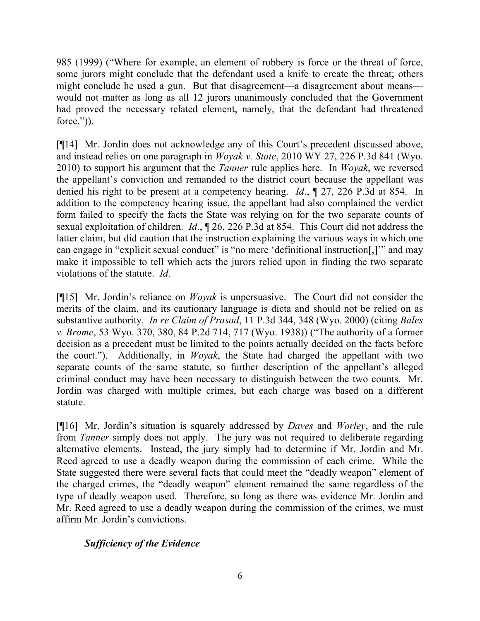985 (1999) ("Where for example, an element of robbery is force or the threat of force, some jurors might conclude that the defendant used a knife to create the threat; others might conclude he used a gun. But that disagreement—a disagreement about means would not matter as long as all 12 jurors unanimously concluded that the Government had proved the necessary related element, namely, that the defendant had threatened force.")).

[¶14] Mr. Jordin does not acknowledge any of this Court's precedent discussed above, and instead relies on one paragraph in *Woyak v. State*, 2010 WY 27, 226 P.3d 841 (Wyo. 2010) to support his argument that the *Tanner* rule applies here. In *Woyak*, we reversed the appellant's conviction and remanded to the district court because the appellant was denied his right to be present at a competency hearing. *Id*., ¶ 27, 226 P.3d at 854. In addition to the competency hearing issue, the appellant had also complained the verdict form failed to specify the facts the State was relying on for the two separate counts of sexual exploitation of children. *Id*., ¶ 26, 226 P.3d at 854. This Court did not address the latter claim, but did caution that the instruction explaining the various ways in which one can engage in "explicit sexual conduct" is "no mere 'definitional instruction[,]'" and may make it impossible to tell which acts the jurors relied upon in finding the two separate violations of the statute. *Id*.

[¶15] Mr. Jordin's reliance on *Woyak* is unpersuasive. The Court did not consider the merits of the claim, and its cautionary language is dicta and should not be relied on as substantive authority. *In re Claim of Prasad*, 11 P.3d 344, 348 (Wyo. 2000) (citing *Bales v. Brome*, 53 Wyo. 370, 380, 84 P.2d 714, 717 (Wyo. 1938)) ("The authority of a former decision as a precedent must be limited to the points actually decided on the facts before the court."). Additionally, in *Woyak*, the State had charged the appellant with two separate counts of the same statute, so further description of the appellant's alleged criminal conduct may have been necessary to distinguish between the two counts. Mr. Jordin was charged with multiple crimes, but each charge was based on a different statute.

[¶16] Mr. Jordin's situation is squarely addressed by *Daves* and *Worley*, and the rule from *Tanner* simply does not apply. The jury was not required to deliberate regarding alternative elements. Instead, the jury simply had to determine if Mr. Jordin and Mr. Reed agreed to use a deadly weapon during the commission of each crime. While the State suggested there were several facts that could meet the "deadly weapon" element of the charged crimes, the "deadly weapon" element remained the same regardless of the type of deadly weapon used. Therefore, so long as there was evidence Mr. Jordin and Mr. Reed agreed to use a deadly weapon during the commission of the crimes, we must affirm Mr. Jordin's convictions.

# *Sufficiency of the Evidence*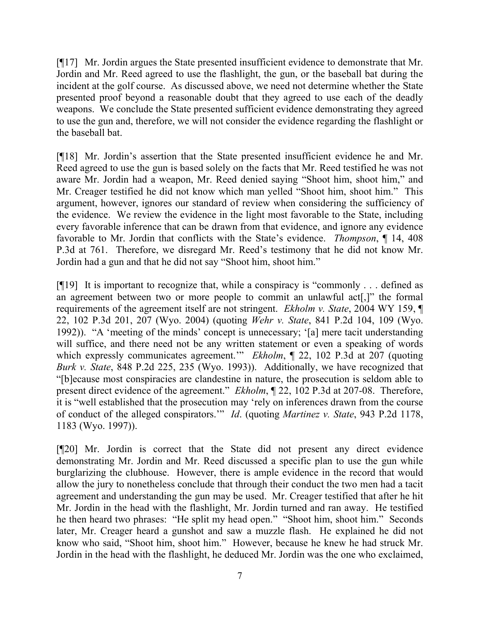[¶17] Mr. Jordin argues the State presented insufficient evidence to demonstrate that Mr. Jordin and Mr. Reed agreed to use the flashlight, the gun, or the baseball bat during the incident at the golf course. As discussed above, we need not determine whether the State presented proof beyond a reasonable doubt that they agreed to use each of the deadly weapons. We conclude the State presented sufficient evidence demonstrating they agreed to use the gun and, therefore, we will not consider the evidence regarding the flashlight or the baseball bat.

[¶18] Mr. Jordin's assertion that the State presented insufficient evidence he and Mr. Reed agreed to use the gun is based solely on the facts that Mr. Reed testified he was not aware Mr. Jordin had a weapon, Mr. Reed denied saying "Shoot him, shoot him," and Mr. Creager testified he did not know which man yelled "Shoot him, shoot him." This argument, however, ignores our standard of review when considering the sufficiency of the evidence. We review the evidence in the light most favorable to the State, including every favorable inference that can be drawn from that evidence, and ignore any evidence favorable to Mr. Jordin that conflicts with the State's evidence. *Thompson*, ¶ 14, 408 P.3d at 761. Therefore, we disregard Mr. Reed's testimony that he did not know Mr. Jordin had a gun and that he did not say "Shoot him, shoot him."

[¶19] It is important to recognize that, while a conspiracy is "commonly . . . defined as an agreement between two or more people to commit an unlawful act[,]" the formal requirements of the agreement itself are not stringent. *Ekholm v. State*, 2004 WY 159, ¶ 22, 102 P.3d 201, 207 (Wyo. 2004) (quoting *Wehr v. State*, 841 P.2d 104, 109 (Wyo. 1992)). "A 'meeting of the minds' concept is unnecessary; '[a] mere tacit understanding will suffice, and there need not be any written statement or even a speaking of words which expressly communicates agreement.'" *Ekholm*,  $\parallel$  22, 102 P.3d at 207 (quoting *Burk v. State*, 848 P.2d 225, 235 (Wyo. 1993)). Additionally, we have recognized that "[b]ecause most conspiracies are clandestine in nature, the prosecution is seldom able to present direct evidence of the agreement." *Ekholm*, ¶ 22, 102 P.3d at 207-08. Therefore, it is "well established that the prosecution may 'rely on inferences drawn from the course of conduct of the alleged conspirators.'" *Id*. (quoting *Martinez v. State*, 943 P.2d 1178, 1183 (Wyo. 1997)).

[¶20] Mr. Jordin is correct that the State did not present any direct evidence demonstrating Mr. Jordin and Mr. Reed discussed a specific plan to use the gun while burglarizing the clubhouse. However, there is ample evidence in the record that would allow the jury to nonetheless conclude that through their conduct the two men had a tacit agreement and understanding the gun may be used. Mr. Creager testified that after he hit Mr. Jordin in the head with the flashlight, Mr. Jordin turned and ran away. He testified he then heard two phrases: "He split my head open." "Shoot him, shoot him." Seconds later, Mr. Creager heard a gunshot and saw a muzzle flash. He explained he did not know who said, "Shoot him, shoot him." However, because he knew he had struck Mr. Jordin in the head with the flashlight, he deduced Mr. Jordin was the one who exclaimed,